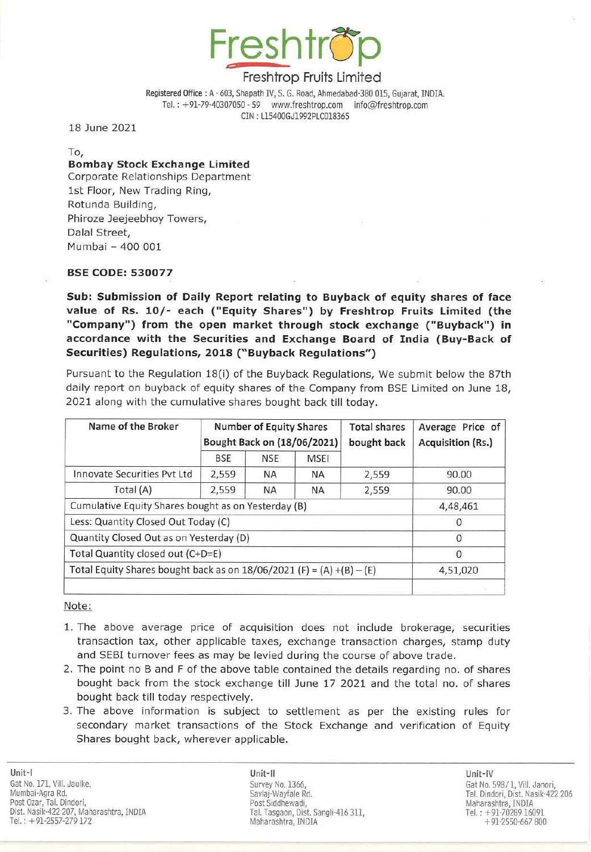

Registered Office: A - 603, Shapath IV, S. G. Road, Ahmedabad-380 015, Gujarat, INOlA. Tel. : +91-79-40307050 - S9 www.freshtrop.cominfo@freshtrop.com eIN : L15400GJ1992PlC018365

18 June 2021

To,

# Bombay Stock Exchange limited

Corporate Relationships Department 1st Floor, New Trading Ring, Rotunda Building, Phiroze Jeejeebhoy Towers, Dalal Street, Mumbai - 400 001

## BSE CODE: 530077

Sub: Submission of Daily Report relating to Buyback of equity shares of face value of Rs. 10/- each ("Equity Shares") by Freshtrop Fruits Limited (the "Company") from the open market through stock exchange ("Buyback") in accordance with the Securities and Exchange Board of India (Buy-Back of Securities) Regulations, 2018 (" Buyback Regulations")

Pursuant to the Regulation 18(i) of the Buyback Regulations, We submit below the 87th daily report on buyback of equity shares of the Company from BSE Limited on June 18, 2021 along with the cumulative shares bought back till today.

| Name of the Broker                                                      | <b>Number of Equity Shares</b><br>Bought Back on (18/06/2021) |            |             | <b>Total shares</b><br>bought back | Average Price of<br>Acquisition (Rs.) |
|-------------------------------------------------------------------------|---------------------------------------------------------------|------------|-------------|------------------------------------|---------------------------------------|
|                                                                         | <b>BSE</b>                                                    | <b>NSE</b> | <b>MSEI</b> |                                    |                                       |
| Innovate Securities Pyt Ltd                                             | 2,559                                                         | <b>NA</b>  | <b>NA</b>   | 2,559                              | 90.00                                 |
| Total (A)                                                               | 2,559                                                         | <b>NA</b>  | <b>NA</b>   | 2,559                              | 90.00                                 |
| Cumulative Equity Shares bought as on Yesterday (B)                     |                                                               |            |             |                                    | 4,48,461                              |
| Less: Quantity Closed Out Today (C)                                     |                                                               |            |             |                                    | $\Omega$                              |
| Quantity Closed Out as on Yesterday (D)                                 |                                                               |            |             |                                    | $\Omega$                              |
| Total Quantity closed out (C+D=E)                                       |                                                               |            |             |                                    | $\Omega$                              |
| Total Equity Shares bought back as on $18/06/2021$ (F) = (A) +(B) - (E) |                                                               |            |             |                                    | 4,51,020                              |
|                                                                         |                                                               |            |             |                                    |                                       |

Note:

- 1. The above average price of acquisition does not include brokerage, securities transaction tax, other applicable taxes, exchange transaction charges, stamp duty and SEBI turnover fees as may be levied during the course of above trade.
- 2. The point no B and F of the above table contained the details regarding no. of shares bought back from the stock exchange till June 17 2021 and the total no. of shares bought back till today respectively.
- 3. The above information is subject to settlement as per the existing rules for secondary market transactions of the Stock Exchange and verification of Equity Shares bought back, wherever applicable.

Unit-II Unit-IV Savlaj-Wayfale Rd. Post Siddhewadi, Tal. Tasgaon, Dist. Sangli·416 311, Maharashtra, INDIA